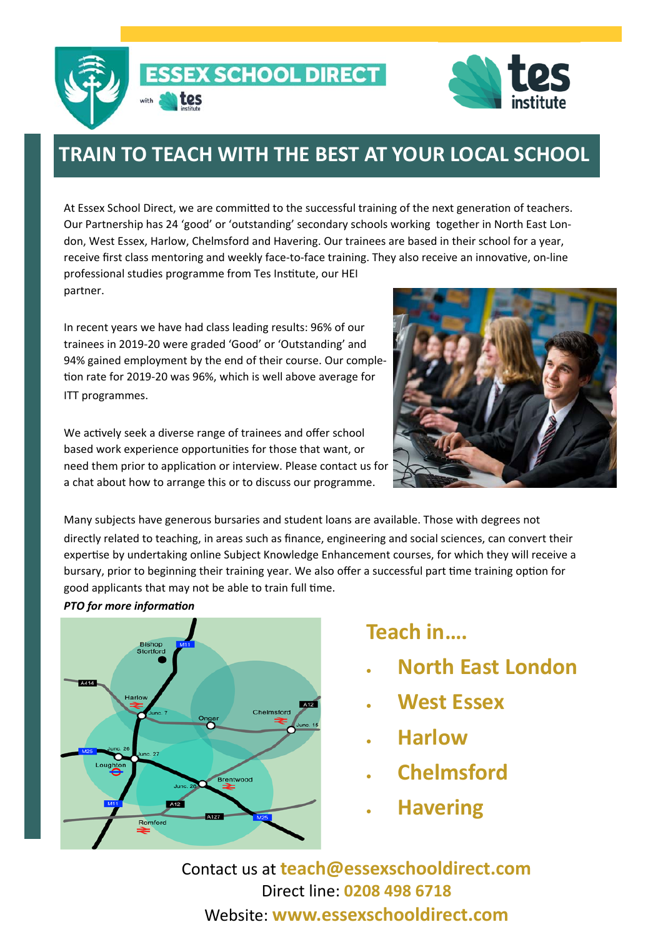



# **TRAIN TO TEACH WITH THE BEST AT YOUR LOCAL SCHOOL**

At Essex School Direct, we are committed to the successful training of the next generation of teachers. Our Partnership has 24 'good' or 'outstanding' secondary schools working together in North East London, West Essex, Harlow, Chelmsford and Havering. Our trainees are based in their school for a year, receive first class mentoring and weekly face-to-face training. They also receive an innovative, on-line

professional studies programme from Tes Institute, our HEI partner.

In recent years we have had class leading results: 96% of our trainees in 2019-20 were graded 'Good' or 'Outstanding' and 94% gained employment by the end of their course. Our completion rate for 2019-20 was 96%, which is well above average for ITT programmes.

We actively seek a diverse range of trainees and offer school based work experience opportunities for those that want, or need them prior to application or interview. Please contact us for a chat about how to arrange this or to discuss our programme.



Many subjects have generous bursaries and student loans are available. Those with degrees not directly related to teaching, in areas such as finance, engineering and social sciences, can convert their expertise by undertaking online Subject Knowledge Enhancement courses, for which they will receive a bursary, prior to beginning their training year. We also offer a successful part time training option for good applicants that may not be able to train full time.





## **Teach in….**

- **North East London**
- **West Essex**
- **Harlow**
- **Chelmsford**
- **Havering**

Contact us at **teach@essexschooldirect.com** Direct line: **0208 498 6718**  Website: **www.essexschooldirect.com**